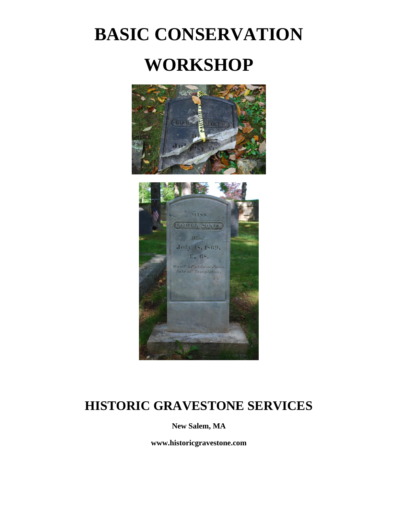# **BASIC CONSERVATION WORKSHOP**





## **HISTORIC GRAVESTONE SERVICES**

**New Salem, MA**

**www.historicgravestone.com**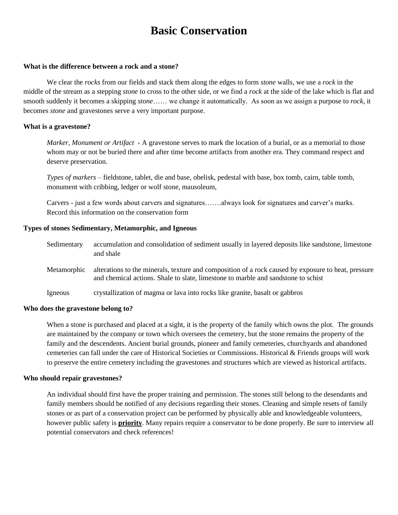### **Basic Conservation**

#### **What is the difference between a rock and a stone?**

We clear the *rocks* from our fields and stack them along the edges to form *stone* walls, we use a *rock* in the middle of the stream as a stepping *stone* to cross to the other side, or we find a *rock* at the side of the lake which is flat and smooth suddenly it becomes a skipping *stone*…… we change it automatically. As soon as we assign a purpose to *rock*, it becomes *stone* and gravestones serve a very important purpose.

#### **What is a gravestone?**

*Marker, Monument or Artifact -* A gravestone serves to mark the location of a burial, or as a memorial to those whom may or not be buried there and after time become artifacts from another era. They command respect and deserve preservation.

*Types of markers* – fieldstone, tablet, die and base, obelisk, pedestal with base, box tomb, cairn, table tomb, monument with cribbing, ledger or wolf stone, mausoleum,

Carvers - just a few words about carvers and signatures…….always look for signatures and carver's marks. Record this information on the conservation form

#### **Types of stones Sedimentary, Metamorphic, and Igneous**

| Sedimentary | accumulation and consolidation of sediment usually in layered deposits like sandstone, limestone<br>and shale                                                                            |
|-------------|------------------------------------------------------------------------------------------------------------------------------------------------------------------------------------------|
| Metamorphic | alterations to the minerals, texture and composition of a rock caused by exposure to heat, pressure<br>and chemical actions. Shale to slate, limestone to marble and sandstone to schist |
| Igneous     | crystallization of magma or lava into rocks like granite, basalt or gabbros                                                                                                              |

#### **Who does the gravestone belong to?**

When a stone is purchased and placed at a sight, it is the property of the family which owns the plot. The grounds are maintained by the company or town which oversees the cemetery, but the stone remains the property of the family and the descendents. Ancient burial grounds, pioneer and family cemeteries, churchyards and abandoned cemeteries can fall under the care of Historical Societies or Commissions. Historical & Friends groups will work to preserve the entire cemetery including the gravestones and structures which are viewed as historical artifacts.

#### **Who should repair gravestones?**

An individual should first have the proper training and permission. The stones still belong to the desendants and family members should be notified of any decisions regarding their stones. Cleaning and simple resets of family stones or as part of a conservation project can be performed by physically able and knowledgeable volunteers, however public safety is **priority**. Many repairs require a conservator to be done properly. Be sure to interview all potential conservators and check references!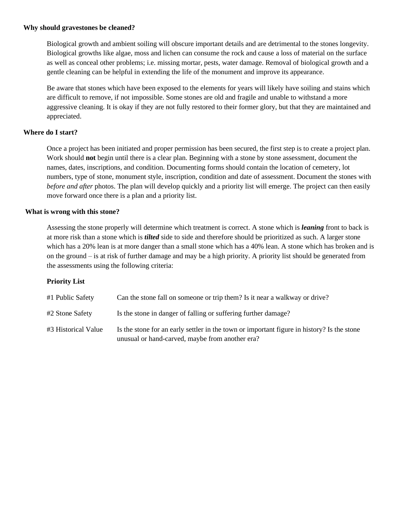#### **Why should gravestones be cleaned?**

Biological growth and ambient soiling will obscure important details and are detrimental to the stones longevity. Biological growths like algae, moss and lichen can consume the rock and cause a loss of material on the surface as well as conceal other problems; i.e. missing mortar, pests, water damage. Removal of biological growth and a gentle cleaning can be helpful in extending the life of the monument and improve its appearance.

Be aware that stones which have been exposed to the elements for years will likely have soiling and stains which are difficult to remove, if not impossible. Some stones are old and fragile and unable to withstand a more aggressive cleaning. It is okay if they are not fully restored to their former glory, but that they are maintained and appreciated.

#### **Where do I start?**

Once a project has been initiated and proper permission has been secured, the first step is to create a project plan. Work should **not** begin until there is a clear plan. Beginning with a stone by stone assessment, document the names, dates, inscriptions, and condition. Documenting forms should contain the location of cemetery, lot numbers, type of stone, monument style, inscription, condition and date of assessment. Document the stones with *before and after* photos. The plan will develop quickly and a priority list will emerge. The project can then easily move forward once there is a plan and a priority list.

#### **What is wrong with this stone?**

Assessing the stone properly will determine which treatment is correct. A stone which is *leaning* front to back is at more risk than a stone which is *tilted* side to side and therefore should be prioritized as such. A larger stone which has a 20% lean is at more danger than a small stone which has a 40% lean. A stone which has broken and is on the ground – is at risk of further damage and may be a high priority. A priority list should be generated from the assessments using the following criteria:

#### **Priority List**

| #1 Public Safety    | Can the stone fall on someone or trip them? Is it near a walkway or drive?                                                                    |
|---------------------|-----------------------------------------------------------------------------------------------------------------------------------------------|
| #2 Stone Safety     | Is the stone in danger of falling or suffering further damage?                                                                                |
| #3 Historical Value | Is the stone for an early settler in the town or important figure in history? Is the stone<br>unusual or hand-carved, maybe from another era? |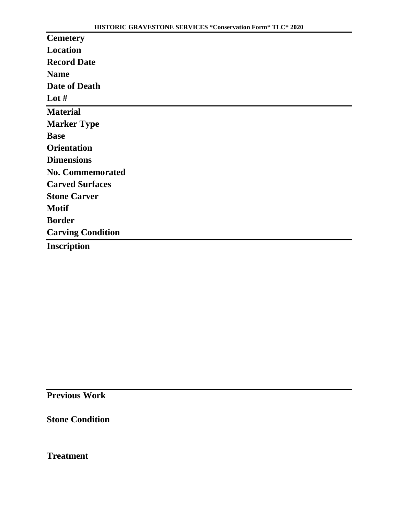| <b>Cemetery</b>          |
|--------------------------|
| Location                 |
| <b>Record Date</b>       |
| <b>Name</b>              |
| Date of Death            |
| Lot $#$                  |
| <b>Material</b>          |
| <b>Marker Type</b>       |
| <b>Base</b>              |
| <b>Orientation</b>       |
| <b>Dimensions</b>        |
| <b>No. Commemorated</b>  |
| <b>Carved Surfaces</b>   |
| <b>Stone Carver</b>      |
| <b>Motif</b>             |
| <b>Border</b>            |
| <b>Carving Condition</b> |
| <b>Inscription</b>       |

**Previous Work**

**Stone Condition**

**Treatment**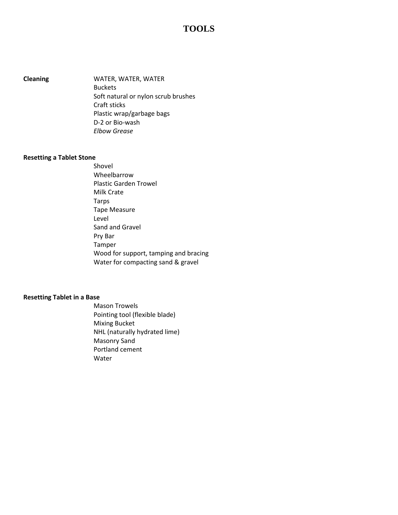### **TOOLS**

**Cleaning** WATER, WATER, WATER Buckets Soft natural or nylon scrub brushes Craft sticks Plastic wrap/garbage bags D-2 or Bio-wash *Elbow Grease*

#### **Resetting a Tablet Stone**

Shovel Wheelbarrow Plastic Garden Trowel Milk Crate Tarps Tape Measure Level Sand and Gravel Pry Bar Tamper Wood for support, tamping and bracing Water for compacting sand & gravel

#### **Resetting Tablet in a Base**

Mason Trowels Pointing tool (flexible blade) Mixing Bucket NHL (naturally hydrated lime) Masonry Sand Portland cement Water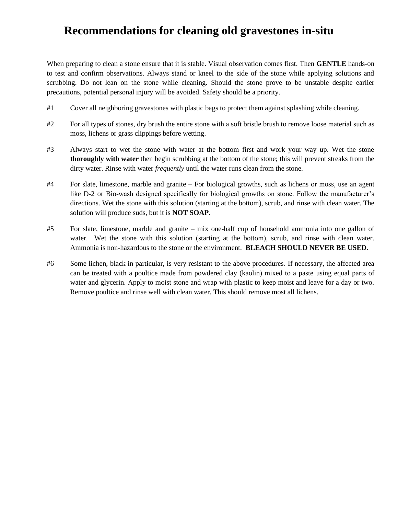### **Recommendations for cleaning old gravestones in-situ**

When preparing to clean a stone ensure that it is stable. Visual observation comes first. Then **GENTLE** hands-on to test and confirm observations. Always stand or kneel to the side of the stone while applying solutions and scrubbing. Do not lean on the stone while cleaning. Should the stone prove to be unstable despite earlier precautions, potential personal injury will be avoided. Safety should be a priority.

- #1 Cover all neighboring gravestones with plastic bags to protect them against splashing while cleaning.
- #2 For all types of stones, dry brush the entire stone with a soft bristle brush to remove loose material such as moss, lichens or grass clippings before wetting.
- #3 Always start to wet the stone with water at the bottom first and work your way up. Wet the stone **thoroughly with water** then begin scrubbing at the bottom of the stone; this will prevent streaks from the dirty water. Rinse with water *frequently* until the water runs clean from the stone.
- #4 For slate, limestone, marble and granite For biological growths, such as lichens or moss, use an agent like D-2 or Bio-wash designed specifically for biological growths on stone. Follow the manufacturer's directions. Wet the stone with this solution (starting at the bottom), scrub, and rinse with clean water. The solution will produce suds, but it is **NOT SOAP**.
- #5 For slate, limestone, marble and granite mix one-half cup of household ammonia into one gallon of water. Wet the stone with this solution (starting at the bottom), scrub, and rinse with clean water. Ammonia is non-hazardous to the stone or the environment. **BLEACH SHOULD NEVER BE USED**.
- #6 Some lichen, black in particular, is very resistant to the above procedures. If necessary, the affected area can be treated with a poultice made from powdered clay (kaolin) mixed to a paste using equal parts of water and glycerin. Apply to moist stone and wrap with plastic to keep moist and leave for a day or two. Remove poultice and rinse well with clean water. This should remove most all lichens.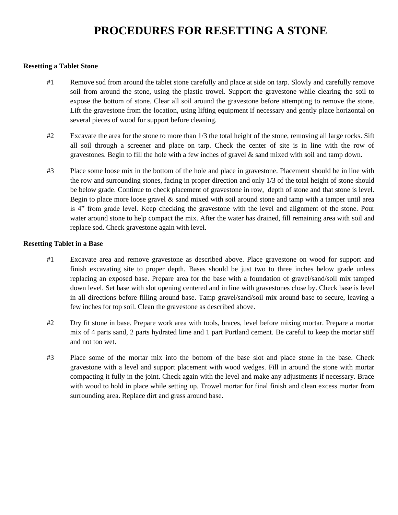### **PROCEDURES FOR RESETTING A STONE**

#### **Resetting a Tablet Stone**

- #1 Remove sod from around the tablet stone carefully and place at side on tarp. Slowly and carefully remove soil from around the stone, using the plastic trowel. Support the gravestone while clearing the soil to expose the bottom of stone. Clear all soil around the gravestone before attempting to remove the stone. Lift the gravestone from the location, using lifting equipment if necessary and gently place horizontal on several pieces of wood for support before cleaning.
- #2 Excavate the area for the stone to more than 1/3 the total height of the stone, removing all large rocks. Sift all soil through a screener and place on tarp. Check the center of site is in line with the row of gravestones. Begin to fill the hole with a few inches of gravel & sand mixed with soil and tamp down.
- #3 Place some loose mix in the bottom of the hole and place in gravestone. Placement should be in line with the row and surrounding stones, facing in proper direction and only 1/3 of the total height of stone should be below grade. Continue to check placement of gravestone in row, depth of stone and that stone is level. Begin to place more loose gravel & sand mixed with soil around stone and tamp with a tamper until area is 4" from grade level. Keep checking the gravestone with the level and alignment of the stone. Pour water around stone to help compact the mix. After the water has drained, fill remaining area with soil and replace sod. Check gravestone again with level.

#### **Resetting Tablet in a Base**

- #1 Excavate area and remove gravestone as described above. Place gravestone on wood for support and finish excavating site to proper depth. Bases should be just two to three inches below grade unless replacing an exposed base. Prepare area for the base with a foundation of gravel/sand/soil mix tamped down level. Set base with slot opening centered and in line with gravestones close by. Check base is level in all directions before filling around base. Tamp gravel/sand/soil mix around base to secure, leaving a few inches for top soil. Clean the gravestone as described above.
- #2 Dry fit stone in base. Prepare work area with tools, braces, level before mixing mortar. Prepare a mortar mix of 4 parts sand, 2 parts hydrated lime and 1 part Portland cement. Be careful to keep the mortar stiff and not too wet.
- #3 Place some of the mortar mix into the bottom of the base slot and place stone in the base. Check gravestone with a level and support placement with wood wedges. Fill in around the stone with mortar compacting it fully in the joint. Check again with the level and make any adjustments if necessary. Brace with wood to hold in place while setting up. Trowel mortar for final finish and clean excess mortar from surrounding area. Replace dirt and grass around base.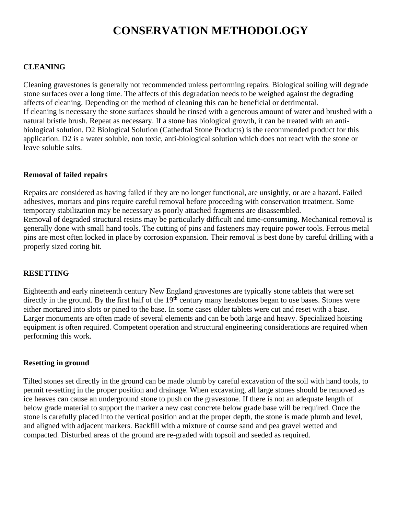### **CONSERVATION METHODOLOGY**

#### **CLEANING**

Cleaning gravestones is generally not recommended unless performing repairs. Biological soiling will degrade stone surfaces over a long time. The affects of this degradation needs to be weighed against the degrading affects of cleaning. Depending on the method of cleaning this can be beneficial or detrimental. If cleaning is necessary the stone surfaces should be rinsed with a generous amount of water and brushed with a natural bristle brush. Repeat as necessary. If a stone has biological growth, it can be treated with an antibiological solution. D2 Biological Solution (Cathedral Stone Products) is the recommended product for this application. D2 is a water soluble, non toxic, anti-biological solution which does not react with the stone or leave soluble salts.

#### **Removal of failed repairs**

Repairs are considered as having failed if they are no longer functional, are unsightly, or are a hazard. Failed adhesives, mortars and pins require careful removal before proceeding with conservation treatment. Some temporary stabilization may be necessary as poorly attached fragments are disassembled. Removal of degraded structural resins may be particularly difficult and time-consuming. Mechanical removal is generally done with small hand tools. The cutting of pins and fasteners may require power tools. Ferrous metal pins are most often locked in place by corrosion expansion. Their removal is best done by careful drilling with a properly sized coring bit.

#### **RESETTING**

Eighteenth and early nineteenth century New England gravestones are typically stone tablets that were set directly in the ground. By the first half of the  $19<sup>th</sup>$  century many headstones began to use bases. Stones were either mortared into slots or pined to the base. In some cases older tablets were cut and reset with a base. Larger monuments are often made of several elements and can be both large and heavy. Specialized hoisting equipment is often required. Competent operation and structural engineering considerations are required when performing this work.

#### **Resetting in ground**

Tilted stones set directly in the ground can be made plumb by careful excavation of the soil with hand tools, to permit re-setting in the proper position and drainage. When excavating, all large stones should be removed as ice heaves can cause an underground stone to push on the gravestone. If there is not an adequate length of below grade material to support the marker a new cast concrete below grade base will be required. Once the stone is carefully placed into the vertical position and at the proper depth, the stone is made plumb and level, and aligned with adjacent markers. Backfill with a mixture of course sand and pea gravel wetted and compacted. Disturbed areas of the ground are re-graded with topsoil and seeded as required.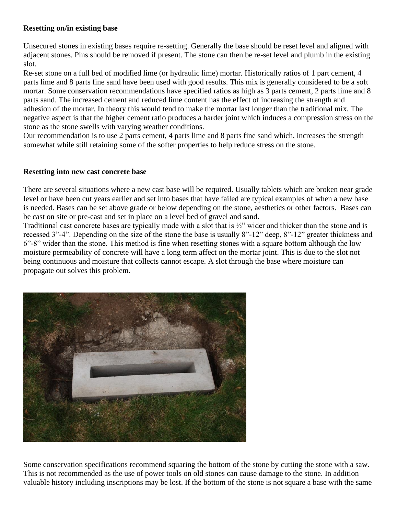#### **Resetting on/in existing base**

Unsecured stones in existing bases require re-setting. Generally the base should be reset level and aligned with adjacent stones. Pins should be removed if present. The stone can then be re-set level and plumb in the existing slot.

Re-set stone on a full bed of modified lime (or hydraulic lime) mortar. Historically ratios of 1 part cement, 4 parts lime and 8 parts fine sand have been used with good results. This mix is generally considered to be a soft mortar. Some conservation recommendations have specified ratios as high as 3 parts cement, 2 parts lime and 8 parts sand. The increased cement and reduced lime content has the effect of increasing the strength and adhesion of the mortar. In theory this would tend to make the mortar last longer than the traditional mix. The negative aspect is that the higher cement ratio produces a harder joint which induces a compression stress on the stone as the stone swells with varying weather conditions.

Our recommendation is to use 2 parts cement, 4 parts lime and 8 parts fine sand which, increases the strength somewhat while still retaining some of the softer properties to help reduce stress on the stone.

#### **Resetting into new cast concrete base**

There are several situations where a new cast base will be required. Usually tablets which are broken near grade level or have been cut years earlier and set into bases that have failed are typical examples of when a new base is needed. Bases can be set above grade or below depending on the stone, aesthetics or other factors. Bases can be cast on site or pre-cast and set in place on a level bed of gravel and sand.

Traditional cast concrete bases are typically made with a slot that is ½" wider and thicker than the stone and is recessed 3"-4". Depending on the size of the stone the base is usually 8"-12" deep, 8"-12" greater thickness and 6"-8" wider than the stone. This method is fine when resetting stones with a square bottom although the low moisture permeability of concrete will have a long term affect on the mortar joint. This is due to the slot not being continuous and moisture that collects cannot escape. A slot through the base where moisture can propagate out solves this problem.



Some conservation specifications recommend squaring the bottom of the stone by cutting the stone with a saw. This is not recommended as the use of power tools on old stones can cause damage to the stone. In addition valuable history including inscriptions may be lost. If the bottom of the stone is not square a base with the same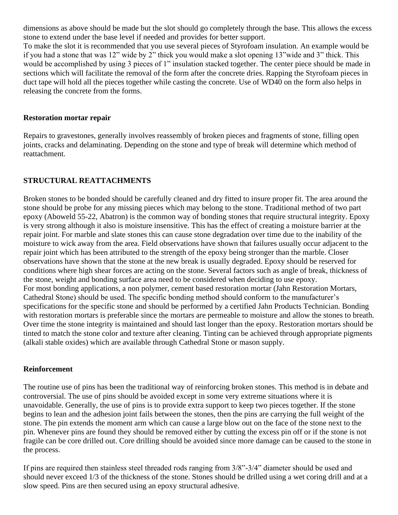dimensions as above should be made but the slot should go completely through the base. This allows the excess stone to extend under the base level if needed and provides for better support.

To make the slot it is recommended that you use several pieces of Styrofoam insulation. An example would be if you had a stone that was 12" wide by 2" thick you would make a slot opening 13"wide and 3" thick. This would be accomplished by using 3 pieces of 1" insulation stacked together. The center piece should be made in sections which will facilitate the removal of the form after the concrete dries. Rapping the Styrofoam pieces in duct tape will hold all the pieces together while casting the concrete. Use of WD40 on the form also helps in releasing the concrete from the forms.

#### **Restoration mortar repair**

Repairs to gravestones, generally involves reassembly of broken pieces and fragments of stone, filling open joints, cracks and delaminating. Depending on the stone and type of break will determine which method of reattachment.

#### **STRUCTURAL REATTACHMENTS**

Broken stones to be bonded should be carefully cleaned and dry fitted to insure proper fit. The area around the stone should be probe for any missing pieces which may belong to the stone. Traditional method of two part epoxy (Aboweld 55-22, Abatron) is the common way of bonding stones that require structural integrity. Epoxy is very strong although it also is moisture insensitive. This has the effect of creating a moisture barrier at the repair joint. For marble and slate stones this can cause stone degradation over time due to the inability of the moisture to wick away from the area. Field observations have shown that failures usually occur adjacent to the repair joint which has been attributed to the strength of the epoxy being stronger than the marble. Closer observations have shown that the stone at the new break is usually degraded. Epoxy should be reserved for conditions where high shear forces are acting on the stone. Several factors such as angle of break, thickness of the stone, weight and bonding surface area need to be considered when deciding to use epoxy. For most bonding applications, a non polymer, cement based restoration mortar (Jahn Restoration Mortars, Cathedral Stone) should be used. The specific bonding method should conform to the manufacturer's specifications for the specific stone and should be performed by a certified Jahn Products Technician. Bonding with restoration mortars is preferable since the mortars are permeable to moisture and allow the stones to breath. Over time the stone integrity is maintained and should last longer than the epoxy. Restoration mortars should be tinted to match the stone color and texture after cleaning. Tinting can be achieved through appropriate pigments (alkali stable oxides) which are available through Cathedral Stone or mason supply.

#### **Reinforcement**

The routine use of pins has been the traditional way of reinforcing broken stones. This method is in debate and controversial. The use of pins should be avoided except in some very extreme situations where it is unavoidable. Generally, the use of pins is to provide extra support to keep two pieces together. If the stone begins to lean and the adhesion joint fails between the stones, then the pins are carrying the full weight of the stone. The pin extends the moment arm which can cause a large blow out on the face of the stone next to the pin. Whenever pins are found they should be removed either by cutting the excess pin off or if the stone is not fragile can be core drilled out. Core drilling should be avoided since more damage can be caused to the stone in the process.

If pins are required then stainless steel threaded rods ranging from 3/8"-3/4" diameter should be used and should never exceed 1/3 of the thickness of the stone. Stones should be drilled using a wet coring drill and at a slow speed. Pins are then secured using an epoxy structural adhesive.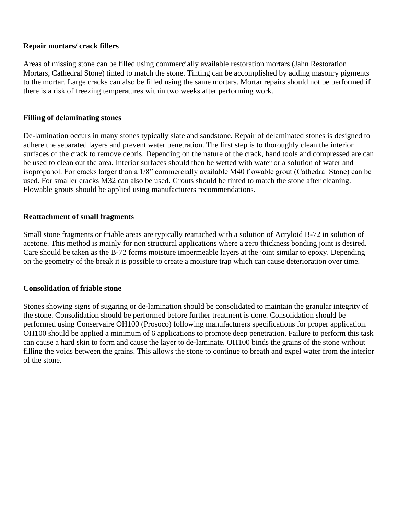#### **Repair mortars/ crack fillers**

Areas of missing stone can be filled using commercially available restoration mortars (Jahn Restoration Mortars, Cathedral Stone) tinted to match the stone. Tinting can be accomplished by adding masonry pigments to the mortar. Large cracks can also be filled using the same mortars. Mortar repairs should not be performed if there is a risk of freezing temperatures within two weeks after performing work.

#### **Filling of delaminating stones**

De-lamination occurs in many stones typically slate and sandstone. Repair of delaminated stones is designed to adhere the separated layers and prevent water penetration. The first step is to thoroughly clean the interior surfaces of the crack to remove debris. Depending on the nature of the crack, hand tools and compressed are can be used to clean out the area. Interior surfaces should then be wetted with water or a solution of water and isopropanol. For cracks larger than a 1/8" commercially available M40 flowable grout (Cathedral Stone) can be used. For smaller cracks M32 can also be used. Grouts should be tinted to match the stone after cleaning. Flowable grouts should be applied using manufacturers recommendations.

#### **Reattachment of small fragments**

Small stone fragments or friable areas are typically reattached with a solution of Acryloid B-72 in solution of acetone. This method is mainly for non structural applications where a zero thickness bonding joint is desired. Care should be taken as the B-72 forms moisture impermeable layers at the joint similar to epoxy. Depending on the geometry of the break it is possible to create a moisture trap which can cause deterioration over time.

#### **Consolidation of friable stone**

Stones showing signs of sugaring or de-lamination should be consolidated to maintain the granular integrity of the stone. Consolidation should be performed before further treatment is done. Consolidation should be performed using Conservaire OH100 (Prosoco) following manufacturers specifications for proper application. OH100 should be applied a minimum of 6 applications to promote deep penetration. Failure to perform this task can cause a hard skin to form and cause the layer to de-laminate. OH100 binds the grains of the stone without filling the voids between the grains. This allows the stone to continue to breath and expel water from the interior of the stone.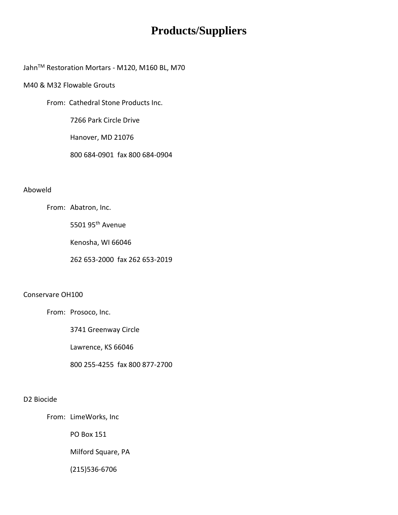### **Products/Suppliers**

Jahn<sup>™</sup> Restoration Mortars - M120, M160 BL, M70

#### M40 & M32 Flowable Grouts

From: Cathedral Stone Products Inc.

7266 Park Circle Drive

Hanover, MD 21076

800 684-0901 fax 800 684-0904

#### Aboweld

From: Abatron, Inc.

5501 95th Avenue

Kenosha, WI 66046

262 653-2000 fax 262 653-2019

#### Conservare OH100

From: Prosoco, Inc.

3741 Greenway Circle

Lawrence, KS 66046

800 255-4255 fax 800 877-2700

#### D2 Biocide

From: LimeWorks, Inc

PO Box 151

Milford Square, PA

(215)536-6706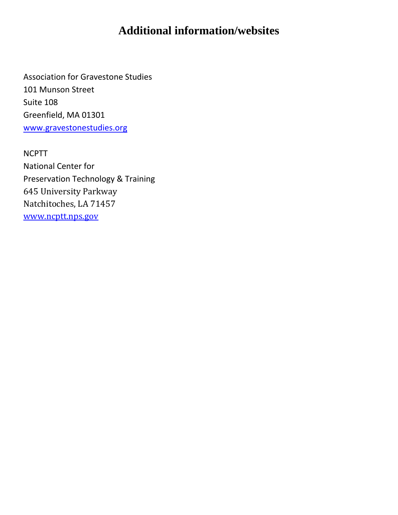### **Additional information/websites**

Association for Gravestone Studies 101 Munson Street Suite 108 Greenfield, MA 01301 [www.gravestonestudies.org](http://www.gravestonestudies.org/)

NCPTT National Center for Preservation Technology & Training 645 University Parkway Natchitoches, LA 71457 [www.ncptt.nps.gov](http://www.ncptt.nps.gov/)